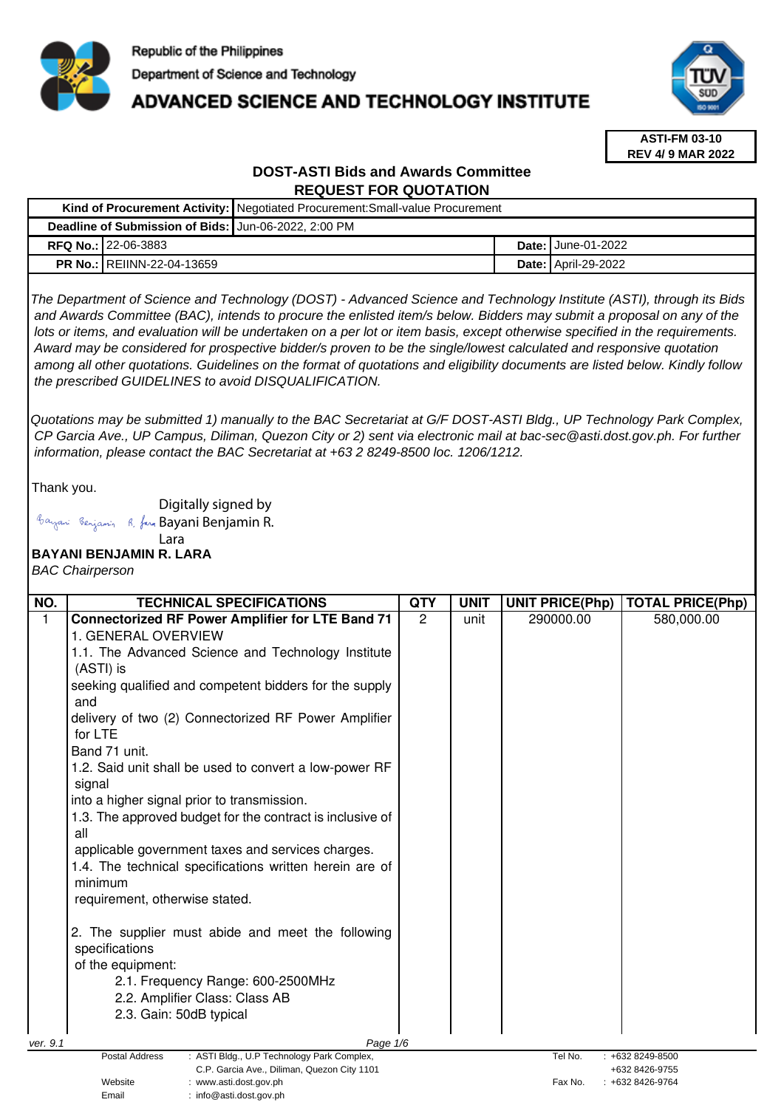

# **ADVANCED SCIENCE AND TECHNOLOGY INSTITUTE**



**ASTI-FM 03-10 REV 4/ 9 MAR 2022**

# **DOST-ASTI Bids and Awards Committee REQUEST FOR QUOTATION**

|  |                                                      | Kind of Procurement Activity: Negotiated Procurement: Small-value Procurement |  |                             |
|--|------------------------------------------------------|-------------------------------------------------------------------------------|--|-----------------------------|
|  | Deadline of Submission of Bids: Jun-06-2022, 2:00 PM |                                                                               |  |                             |
|  | <b>RFQ No.: 22-06-3883</b>                           |                                                                               |  | <b>Date: I</b> June-01-2022 |
|  | <b>PR No.: REIINN-22-04-13659</b>                    |                                                                               |  | <b>Date: April-29-2022</b>  |
|  |                                                      |                                                                               |  |                             |

The Department of Science and Technology (DOST) - Advanced Science and Technology Institute (ASTI), through its Bids and Awards Committee (BAC), intends to procure the enlisted item/s below. Bidders may submit a proposal on any of the lots or items, and evaluation will be undertaken on a per lot or item basis, except otherwise specified in the requirements. Award may be considered for prospective bidder/s proven to be the single/lowest calculated and responsive quotation among all other quotations. Guidelines on the format of quotations and eligibility documents are listed below. Kindly follow the prescribed GUIDELINES to avoid DISQUALIFICATION.

Quotations may be submitted 1) manually to the BAC Secretariat at G/F DOST-ASTI Bldg., UP Technology Park Complex, CP Garcia Ave., UP Campus, Diliman, Quezon City or 2) sent via electronic mail at bac-sec@asti.dost.gov.ph. For further information, please contact the BAC Secretariat at +63 2 8249-8500 loc. 1206/1212.

Thank you.

Digitally signed by

Email : info@asti.dost.gov.ph

Bayani Benjamin R. fan Bayani Benjamin R.

#### **BAYANI BENJAMIN R. LARA**  Lara

BAC Chairperson

| NO.      | <b>TECHNICAL SPECIFICATIONS</b>                                                                | <b>QTY</b>     | <b>UNIT</b> | <b>UNIT PRICE(Php)</b> | <b>TOTAL PRICE(Php)</b>          |
|----------|------------------------------------------------------------------------------------------------|----------------|-------------|------------------------|----------------------------------|
| 1        | <b>Connectorized RF Power Amplifier for LTE Band 71</b>                                        | $\overline{2}$ | unit        | 290000.00              | 580,000.00                       |
|          | 1. GENERAL OVERVIEW                                                                            |                |             |                        |                                  |
|          | 1.1. The Advanced Science and Technology Institute                                             |                |             |                        |                                  |
|          | (ASTI) is                                                                                      |                |             |                        |                                  |
|          | seeking qualified and competent bidders for the supply                                         |                |             |                        |                                  |
|          | and                                                                                            |                |             |                        |                                  |
|          | delivery of two (2) Connectorized RF Power Amplifier                                           |                |             |                        |                                  |
|          | for LTE                                                                                        |                |             |                        |                                  |
|          | Band 71 unit.                                                                                  |                |             |                        |                                  |
|          | 1.2. Said unit shall be used to convert a low-power RF<br>signal                               |                |             |                        |                                  |
|          | into a higher signal prior to transmission.                                                    |                |             |                        |                                  |
|          | 1.3. The approved budget for the contract is inclusive of                                      |                |             |                        |                                  |
|          | all                                                                                            |                |             |                        |                                  |
|          | applicable government taxes and services charges.                                              |                |             |                        |                                  |
|          | 1.4. The technical specifications written herein are of                                        |                |             |                        |                                  |
|          | minimum                                                                                        |                |             |                        |                                  |
|          | requirement, otherwise stated.                                                                 |                |             |                        |                                  |
|          |                                                                                                |                |             |                        |                                  |
|          | 2. The supplier must abide and meet the following                                              |                |             |                        |                                  |
|          | specifications                                                                                 |                |             |                        |                                  |
|          | of the equipment:                                                                              |                |             |                        |                                  |
|          | 2.1. Frequency Range: 600-2500MHz                                                              |                |             |                        |                                  |
|          | 2.2. Amplifier Class: Class AB                                                                 |                |             |                        |                                  |
|          | 2.3. Gain: 50dB typical                                                                        |                |             |                        |                                  |
| ver. 9.1 | Page 1/6                                                                                       |                |             |                        |                                  |
|          | Postal Address<br>: ASTI Bldg., U.P Technology Park Complex,<br>Tel No.<br>$: +6328249 - 8500$ |                |             |                        |                                  |
|          | C.P. Garcia Ave., Diliman, Quezon City 1101<br>Website<br>: www.asti.dost.gov.ph               |                |             | Fax No.                | +632 8426-9755<br>+632 8426-9764 |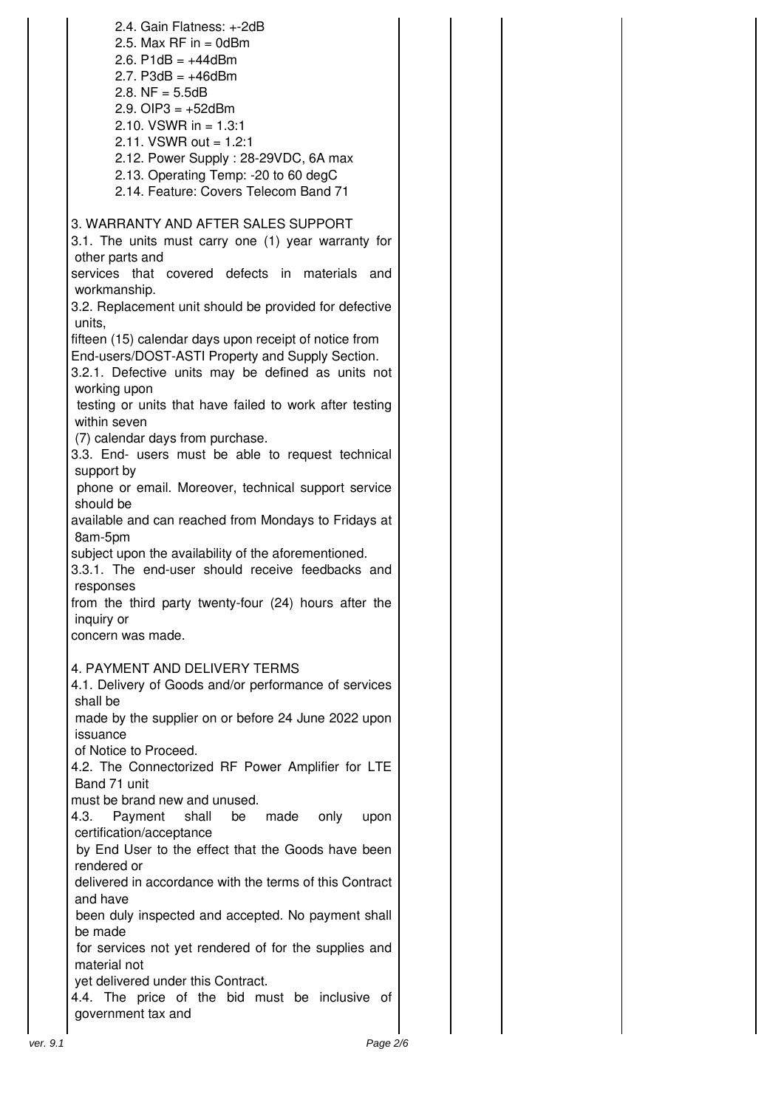|          | 2.4. Gain Flatness: +-2dB<br>2.5. Max RF in $=$ 0dBm<br>2.6. $P1dB = +44dBm$<br>2.7. $P3dB = +46dBm$<br>2.8. $NF = 5.5dB$<br>2.9. OIP3 = $+52$ dBm<br>2.10. VSWR in = $1.3:1$<br>2.11. VSWR out = $1.2:1$<br>2.12. Power Supply: 28-29VDC, 6A max<br>2.13. Operating Temp: -20 to 60 degC<br>2.14. Feature: Covers Telecom Band 71                                                                                                      |  |
|----------|-----------------------------------------------------------------------------------------------------------------------------------------------------------------------------------------------------------------------------------------------------------------------------------------------------------------------------------------------------------------------------------------------------------------------------------------|--|
|          | 3. WARRANTY AND AFTER SALES SUPPORT<br>3.1. The units must carry one (1) year warranty for<br>other parts and<br>services that covered defects in materials and<br>workmanship.<br>3.2. Replacement unit should be provided for defective<br>units,<br>fifteen (15) calendar days upon receipt of notice from<br>End-users/DOST-ASTI Property and Supply Section.<br>3.2.1. Defective units may be defined as units not<br>working upon |  |
|          | testing or units that have failed to work after testing<br>within seven<br>(7) calendar days from purchase.<br>3.3. End- users must be able to request technical<br>support by<br>phone or email. Moreover, technical support service                                                                                                                                                                                                   |  |
|          | should be<br>available and can reached from Mondays to Fridays at<br>8am-5pm<br>subject upon the availability of the aforementioned.<br>3.3.1. The end-user should receive feedbacks and<br>responses<br>from the third party twenty-four (24) hours after the                                                                                                                                                                          |  |
|          | inquiry or<br>concern was made.                                                                                                                                                                                                                                                                                                                                                                                                         |  |
|          | 4. PAYMENT AND DELIVERY TERMS<br>4.1. Delivery of Goods and/or performance of services<br>shall be<br>made by the supplier on or before 24 June 2022 upon                                                                                                                                                                                                                                                                               |  |
|          | issuance<br>of Notice to Proceed.<br>4.2. The Connectorized RF Power Amplifier for LTE<br>Band 71 unit<br>must be brand new and unused.                                                                                                                                                                                                                                                                                                 |  |
|          | Payment<br>4.3.<br>shall<br>made<br>only<br>be<br>upon<br>certification/acceptance<br>by End User to the effect that the Goods have been<br>rendered or<br>delivered in accordance with the terms of this Contract<br>and have                                                                                                                                                                                                          |  |
|          | been duly inspected and accepted. No payment shall<br>be made<br>for services not yet rendered of for the supplies and<br>material not<br>yet delivered under this Contract.<br>4.4. The price of the bid must be inclusive of                                                                                                                                                                                                          |  |
| ver. 9.1 | government tax and<br>Page 2/6                                                                                                                                                                                                                                                                                                                                                                                                          |  |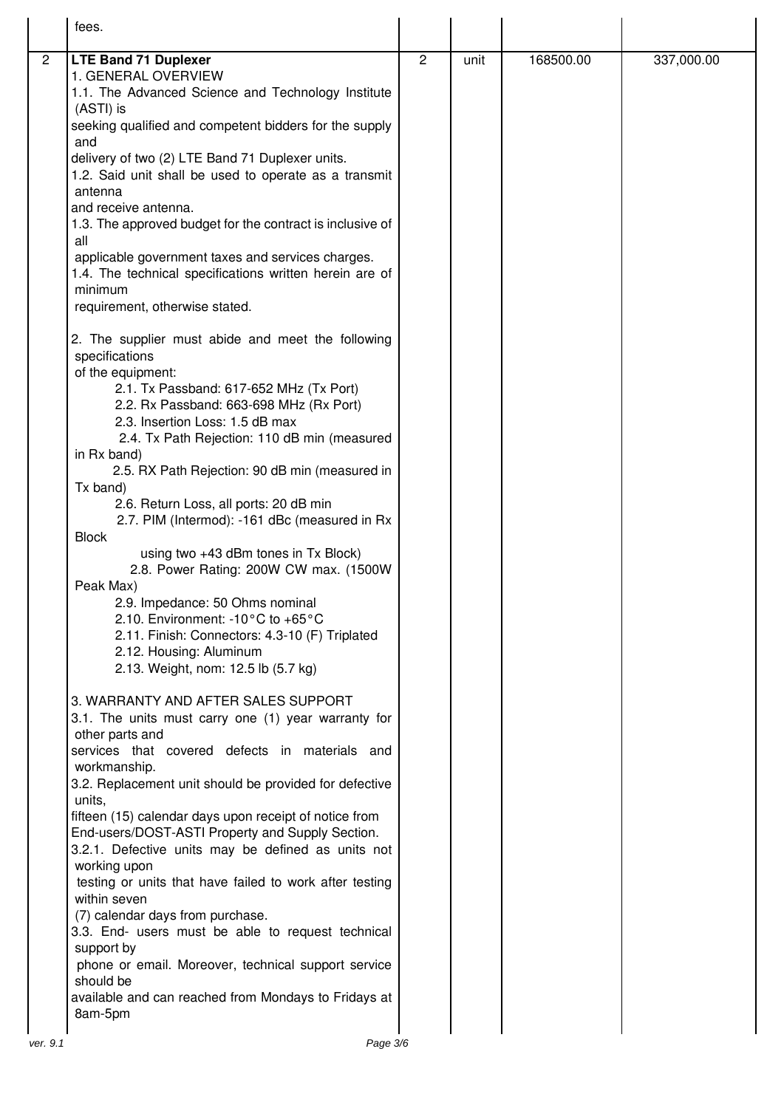|                | fees.                                                                                                                                                                                                                                                                                                                                                                                                                                                                                                                                                                                                                                                                                                                                                            |                |      |           |            |
|----------------|------------------------------------------------------------------------------------------------------------------------------------------------------------------------------------------------------------------------------------------------------------------------------------------------------------------------------------------------------------------------------------------------------------------------------------------------------------------------------------------------------------------------------------------------------------------------------------------------------------------------------------------------------------------------------------------------------------------------------------------------------------------|----------------|------|-----------|------------|
| $\overline{2}$ | <b>LTE Band 71 Duplexer</b><br>1. GENERAL OVERVIEW<br>1.1. The Advanced Science and Technology Institute<br>(ASTI) is<br>seeking qualified and competent bidders for the supply<br>and<br>delivery of two (2) LTE Band 71 Duplexer units.<br>1.2. Said unit shall be used to operate as a transmit<br>antenna<br>and receive antenna.<br>1.3. The approved budget for the contract is inclusive of<br>all<br>applicable government taxes and services charges.<br>1.4. The technical specifications written herein are of<br>minimum<br>requirement, otherwise stated.<br>2. The supplier must abide and meet the following<br>specifications                                                                                                                    | $\overline{2}$ | unit | 168500.00 | 337,000.00 |
|                | of the equipment:<br>2.1. Tx Passband: 617-652 MHz (Tx Port)<br>2.2. Rx Passband: 663-698 MHz (Rx Port)<br>2.3. Insertion Loss: 1.5 dB max<br>2.4. Tx Path Rejection: 110 dB min (measured<br>in Rx band)<br>2.5. RX Path Rejection: 90 dB min (measured in<br>Tx band)<br>2.6. Return Loss, all ports: 20 dB min<br>2.7. PIM (Intermod): -161 dBc (measured in Rx<br><b>Block</b><br>using two +43 dBm tones in Tx Block)<br>2.8. Power Rating: 200W CW max. (1500W<br>Peak Max)<br>2.9. Impedance: 50 Ohms nominal<br>2.10. Environment: -10°C to +65°C<br>2.11. Finish: Connectors: 4.3-10 (F) Triplated<br>2.12. Housing: Aluminum<br>2.13. Weight, nom: 12.5 lb (5.7 kg)                                                                                    |                |      |           |            |
|                | 3. WARRANTY AND AFTER SALES SUPPORT<br>3.1. The units must carry one (1) year warranty for<br>other parts and<br>services that covered defects in materials and<br>workmanship.<br>3.2. Replacement unit should be provided for defective<br>units,<br>fifteen (15) calendar days upon receipt of notice from<br>End-users/DOST-ASTI Property and Supply Section.<br>3.2.1. Defective units may be defined as units not<br>working upon<br>testing or units that have failed to work after testing<br>within seven<br>(7) calendar days from purchase.<br>3.3. End- users must be able to request technical<br>support by<br>phone or email. Moreover, technical support service<br>should be<br>available and can reached from Mondays to Fridays at<br>8am-5pm |                |      |           |            |
| ver. 9.1       | Page 3/6                                                                                                                                                                                                                                                                                                                                                                                                                                                                                                                                                                                                                                                                                                                                                         |                |      |           |            |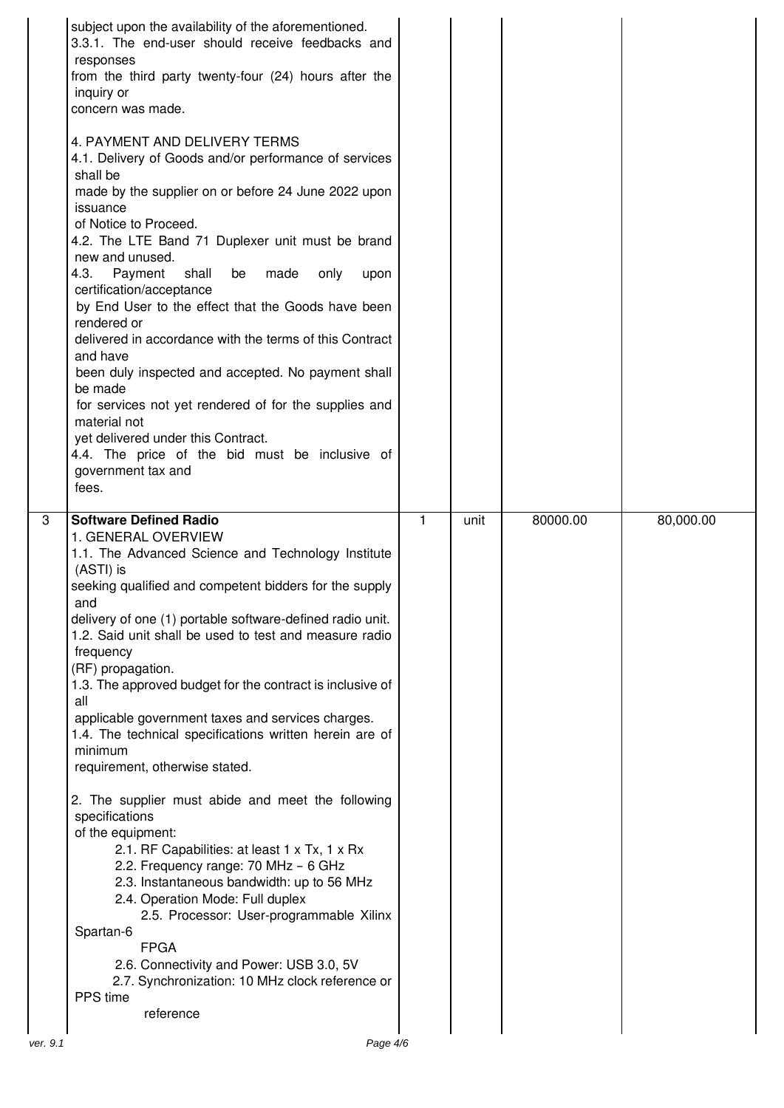|                | subject upon the availability of the aforementioned.<br>3.3.1. The end-user should receive feedbacks and<br>responses<br>from the third party twenty-four (24) hours after the<br>inquiry or<br>concern was made.                                                                                                                                                                                                                                                                                                                                                                                                                                                                                                                                                        |   |      |          |           |
|----------------|--------------------------------------------------------------------------------------------------------------------------------------------------------------------------------------------------------------------------------------------------------------------------------------------------------------------------------------------------------------------------------------------------------------------------------------------------------------------------------------------------------------------------------------------------------------------------------------------------------------------------------------------------------------------------------------------------------------------------------------------------------------------------|---|------|----------|-----------|
|                | 4. PAYMENT AND DELIVERY TERMS<br>4.1. Delivery of Goods and/or performance of services<br>shall be<br>made by the supplier on or before 24 June 2022 upon<br>issuance<br>of Notice to Proceed.<br>4.2. The LTE Band 71 Duplexer unit must be brand<br>new and unused.<br>4.3.<br>Payment<br>shall<br>be<br>made<br>only<br>upon<br>certification/acceptance<br>by End User to the effect that the Goods have been<br>rendered or<br>delivered in accordance with the terms of this Contract<br>and have<br>been duly inspected and accepted. No payment shall<br>be made<br>for services not yet rendered of for the supplies and<br>material not<br>yet delivered under this Contract.<br>4.4. The price of the bid must be inclusive of<br>government tax and<br>fees. |   |      |          |           |
| $\overline{3}$ | <b>Software Defined Radio</b>                                                                                                                                                                                                                                                                                                                                                                                                                                                                                                                                                                                                                                                                                                                                            | 1 | unit | 80000.00 | 80,000.00 |
|                | 1. GENERAL OVERVIEW                                                                                                                                                                                                                                                                                                                                                                                                                                                                                                                                                                                                                                                                                                                                                      |   |      |          |           |
|                | 1.1. The Advanced Science and Technology Institute<br>(ASTI) is                                                                                                                                                                                                                                                                                                                                                                                                                                                                                                                                                                                                                                                                                                          |   |      |          |           |
|                | seeking qualified and competent bidders for the supply<br>and                                                                                                                                                                                                                                                                                                                                                                                                                                                                                                                                                                                                                                                                                                            |   |      |          |           |
|                | delivery of one (1) portable software-defined radio unit.<br>1.2. Said unit shall be used to test and measure radio<br>frequency                                                                                                                                                                                                                                                                                                                                                                                                                                                                                                                                                                                                                                         |   |      |          |           |
|                | (RF) propagation.<br>1.3. The approved budget for the contract is inclusive of                                                                                                                                                                                                                                                                                                                                                                                                                                                                                                                                                                                                                                                                                           |   |      |          |           |
|                | all<br>applicable government taxes and services charges.<br>1.4. The technical specifications written herein are of                                                                                                                                                                                                                                                                                                                                                                                                                                                                                                                                                                                                                                                      |   |      |          |           |
|                | minimum<br>requirement, otherwise stated.                                                                                                                                                                                                                                                                                                                                                                                                                                                                                                                                                                                                                                                                                                                                |   |      |          |           |
|                | 2. The supplier must abide and meet the following<br>specifications<br>of the equipment:<br>2.1. RF Capabilities: at least 1 x Tx, 1 x Rx<br>2.2. Frequency range: 70 MHz - 6 GHz<br>2.3. Instantaneous bandwidth: up to 56 MHz<br>2.4. Operation Mode: Full duplex<br>2.5. Processor: User-programmable Xilinx                                                                                                                                                                                                                                                                                                                                                                                                                                                          |   |      |          |           |
|                | Spartan-6<br><b>FPGA</b><br>2.6. Connectivity and Power: USB 3.0, 5V<br>2.7. Synchronization: 10 MHz clock reference or<br>PPS time                                                                                                                                                                                                                                                                                                                                                                                                                                                                                                                                                                                                                                      |   |      |          |           |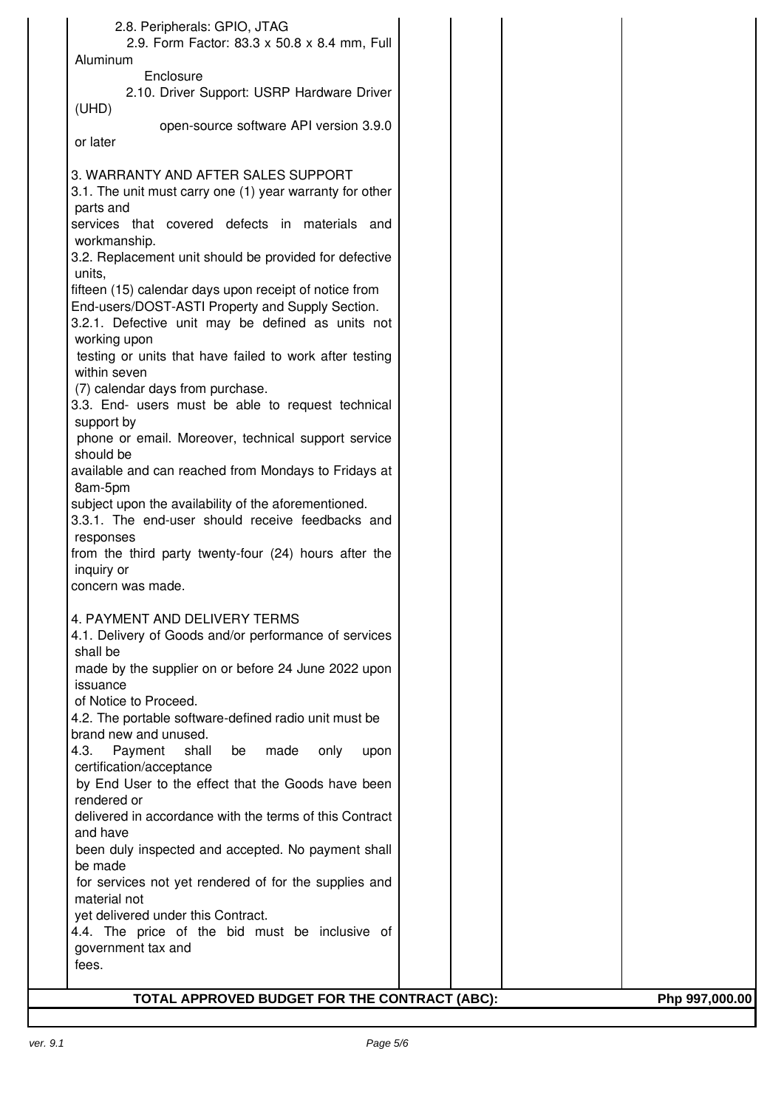| 2.8. Peripherals: GPIO, JTAG                                            |                |
|-------------------------------------------------------------------------|----------------|
| 2.9. Form Factor: 83.3 x 50.8 x 8.4 mm, Full                            |                |
| Aluminum                                                                |                |
| Enclosure                                                               |                |
| 2.10. Driver Support: USRP Hardware Driver                              |                |
| (UHD)                                                                   |                |
| open-source software API version 3.9.0                                  |                |
| or later                                                                |                |
|                                                                         |                |
| 3. WARRANTY AND AFTER SALES SUPPORT                                     |                |
| 3.1. The unit must carry one (1) year warranty for other                |                |
| parts and                                                               |                |
| services that covered defects in materials and                          |                |
| workmanship.                                                            |                |
| 3.2. Replacement unit should be provided for defective                  |                |
| units,                                                                  |                |
| fifteen (15) calendar days upon receipt of notice from                  |                |
| End-users/DOST-ASTI Property and Supply Section.                        |                |
| 3.2.1. Defective unit may be defined as units not                       |                |
| working upon                                                            |                |
| testing or units that have failed to work after testing<br>within seven |                |
| (7) calendar days from purchase.                                        |                |
| 3.3. End- users must be able to request technical                       |                |
| support by                                                              |                |
| phone or email. Moreover, technical support service                     |                |
| should be                                                               |                |
| available and can reached from Mondays to Fridays at                    |                |
| 8am-5pm                                                                 |                |
| subject upon the availability of the aforementioned.                    |                |
| 3.3.1. The end-user should receive feedbacks and                        |                |
| responses                                                               |                |
| from the third party twenty-four (24) hours after the                   |                |
| inquiry or                                                              |                |
| concern was made.                                                       |                |
|                                                                         |                |
| 4. PAYMENT AND DELIVERY TERMS                                           |                |
| 4.1. Delivery of Goods and/or performance of services                   |                |
| shall be                                                                |                |
| made by the supplier on or before 24 June 2022 upon                     |                |
| issuance                                                                |                |
| of Notice to Proceed.                                                   |                |
| 4.2. The portable software-defined radio unit must be                   |                |
| brand new and unused.                                                   |                |
| 4.3.<br>Payment<br>shall<br>be<br>made<br>only<br>upon                  |                |
| certification/acceptance                                                |                |
| by End User to the effect that the Goods have been                      |                |
| rendered or                                                             |                |
| delivered in accordance with the terms of this Contract                 |                |
| and have                                                                |                |
| been duly inspected and accepted. No payment shall<br>be made           |                |
| for services not yet rendered of for the supplies and                   |                |
| material not                                                            |                |
| yet delivered under this Contract.                                      |                |
| 4.4. The price of the bid must be inclusive of                          |                |
| government tax and                                                      |                |
| fees.                                                                   |                |
|                                                                         |                |
| TOTAL APPROVED BUDGET FOR THE CONTRACT (ABC):                           | Php 997,000.00 |
|                                                                         |                |